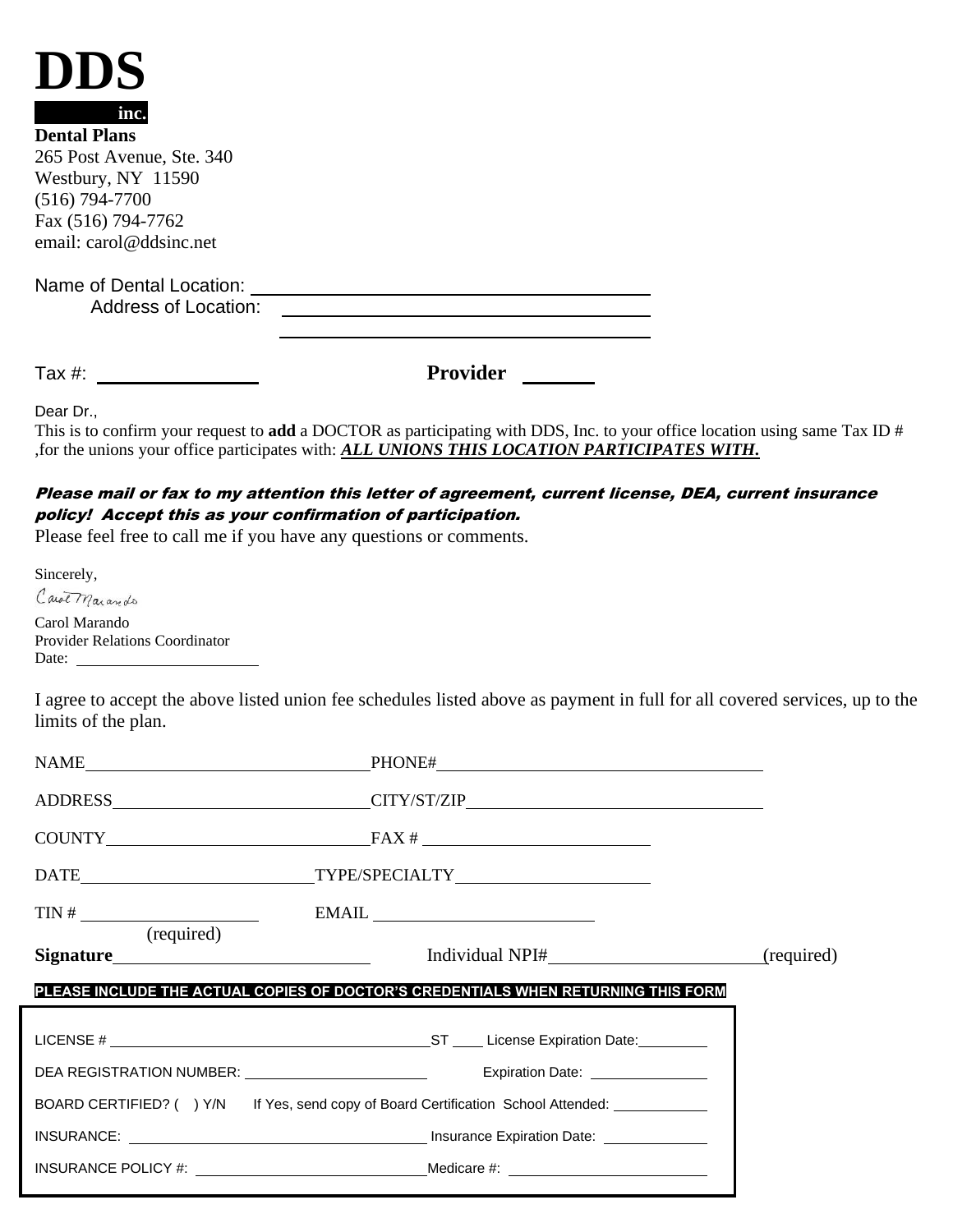| inc. |
|------|

**Dental Plans** 265 Post Avenue, Ste. 340 Westbury, NY 11590 (516) 794-7700 Fax (516) 794-7762 email: carol@ddsinc.net

Name of Dental Location: Address of Location:

Tax #: **Provider** 

Dear Dr.,

This is to confirm your request to **add** a DOCTOR as participating with DDS, Inc. to your office location using same Tax ID # ,for the unions your office participates with: *ALL UNIONS THIS LOCATION PARTICIPATES WITH.*

## Please mail or fax to my attention this letter of agreement, current license, DEA, current insurance policy! Accept this as your confirmation of participation.

Please feel free to call me if you have any questions or comments.

Sincerely, Carol Marando Carol Marando Provider Relations Coordinator Date:

I agree to accept the above listed union fee schedules listed above as payment in full for all covered services, up to the limits of the plan.

| NAME                                                                             |                                                                                                                                                                                                                                                                                                                                                                                                                                                                                            |            |
|----------------------------------------------------------------------------------|--------------------------------------------------------------------------------------------------------------------------------------------------------------------------------------------------------------------------------------------------------------------------------------------------------------------------------------------------------------------------------------------------------------------------------------------------------------------------------------------|------------|
|                                                                                  | ADDRESS CITY/ST/ZIP                                                                                                                                                                                                                                                                                                                                                                                                                                                                        |            |
| $\text{COUNTY}$ FAX $\#$                                                         |                                                                                                                                                                                                                                                                                                                                                                                                                                                                                            |            |
| DATE___________________________________TYPE/SPECIALTY___________________________ |                                                                                                                                                                                                                                                                                                                                                                                                                                                                                            |            |
| $\boxed{\text{TN} \# \_\_\_\_\_\_}$<br>(required)                                | $EMAIL \begin{tabular}{c} \multicolumn{2}{c} {\textbf{1}}\\ \multicolumn{2}{c} {\textbf{2}}\\ \multicolumn{2}{c} {\textbf{5}}\\ \multicolumn{2}{c} {\textbf{5}}\\ \multicolumn{2}{c} {\textbf{6}}\\ \multicolumn{2}{c} {\textbf{6}}\\ \multicolumn{2}{c} {\textbf{6}}\\ \multicolumn{2}{c} {\textbf{6}}\\ \multicolumn{2}{c} {\textbf{6}}\\ \multicolumn{2}{c} {\textbf{7}}\\ \multicolumn{2}{c} {\textbf{8}}\\ \multicolumn{2}{c} {\textbf{9}}\\ \multicolumn{2}{c} {\textbf{1}}\\ \mult$ |            |
|                                                                                  |                                                                                                                                                                                                                                                                                                                                                                                                                                                                                            | (required) |
|                                                                                  | PLEASE INCLUDE THE ACTUAL COPIES OF DOCTOR'S CREDENTIALS WHEN RETURNING THIS FORM                                                                                                                                                                                                                                                                                                                                                                                                          |            |
|                                                                                  |                                                                                                                                                                                                                                                                                                                                                                                                                                                                                            |            |
| DEA REGISTRATION NUMBER: University of the REGISTRATION NUMBER:                  | Expiration Date: <u>_______________</u>                                                                                                                                                                                                                                                                                                                                                                                                                                                    |            |
|                                                                                  | BOARD CERTIFIED? () Y/N If Yes, send copy of Board Certification School Attended:                                                                                                                                                                                                                                                                                                                                                                                                          |            |
|                                                                                  |                                                                                                                                                                                                                                                                                                                                                                                                                                                                                            |            |
|                                                                                  |                                                                                                                                                                                                                                                                                                                                                                                                                                                                                            |            |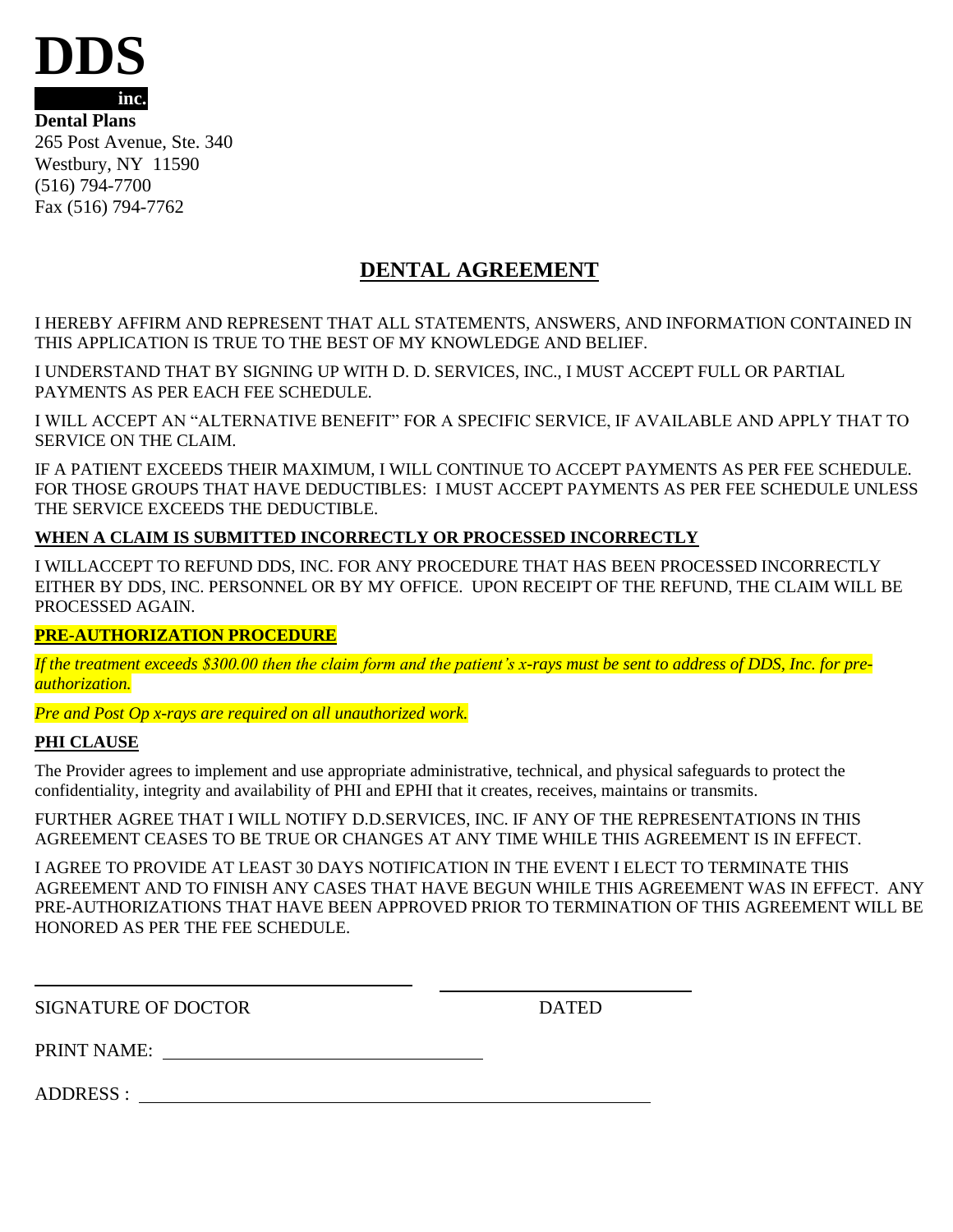

**Dental Plans** 265 Post Avenue, Ste. 340 Westbury, NY 11590 (516) 794-7700 Fax (516) 794-7762

# **DENTAL AGREEMENT**

I HEREBY AFFIRM AND REPRESENT THAT ALL STATEMENTS, ANSWERS, AND INFORMATION CONTAINED IN THIS APPLICATION IS TRUE TO THE BEST OF MY KNOWLEDGE AND BELIEF.

I UNDERSTAND THAT BY SIGNING UP WITH D. D. SERVICES, INC., I MUST ACCEPT FULL OR PARTIAL PAYMENTS AS PER EACH FEE SCHEDULE.

I WILL ACCEPT AN "ALTERNATIVE BENEFIT" FOR A SPECIFIC SERVICE, IF AVAILABLE AND APPLY THAT TO SERVICE ON THE CLAIM.

IF A PATIENT EXCEEDS THEIR MAXIMUM, I WILL CONTINUE TO ACCEPT PAYMENTS AS PER FEE SCHEDULE. FOR THOSE GROUPS THAT HAVE DEDUCTIBLES: I MUST ACCEPT PAYMENTS AS PER FEE SCHEDULE UNLESS THE SERVICE EXCEEDS THE DEDUCTIBLE.

## **WHEN A CLAIM IS SUBMITTED INCORRECTLY OR PROCESSED INCORRECTLY**

I WILLACCEPT TO REFUND DDS, INC. FOR ANY PROCEDURE THAT HAS BEEN PROCESSED INCORRECTLY EITHER BY DDS, INC. PERSONNEL OR BY MY OFFICE. UPON RECEIPT OF THE REFUND, THE CLAIM WILL BE PROCESSED AGAIN.

## **PRE-AUTHORIZATION PROCEDURE**

*If the treatment exceeds \$300.00 then the claim form and the patient's x-rays must be sent to address of DDS, Inc. for preauthorization.*

*Pre and Post Op x-rays are required on all unauthorized work.*

#### **PHI CLAUSE**

The Provider agrees to implement and use appropriate administrative, technical, and physical safeguards to protect the confidentiality, integrity and availability of PHI and EPHI that it creates, receives, maintains or transmits.

FURTHER AGREE THAT I WILL NOTIFY D.D.SERVICES, INC. IF ANY OF THE REPRESENTATIONS IN THIS AGREEMENT CEASES TO BE TRUE OR CHANGES AT ANY TIME WHILE THIS AGREEMENT IS IN EFFECT.

I AGREE TO PROVIDE AT LEAST 30 DAYS NOTIFICATION IN THE EVENT I ELECT TO TERMINATE THIS AGREEMENT AND TO FINISH ANY CASES THAT HAVE BEGUN WHILE THIS AGREEMENT WAS IN EFFECT. ANY PRE-AUTHORIZATIONS THAT HAVE BEEN APPROVED PRIOR TO TERMINATION OF THIS AGREEMENT WILL BE HONORED AS PER THE FEE SCHEDULE.

SIGNATURE OF DOCTOR DATED

PRINT NAME:

ADDRESS :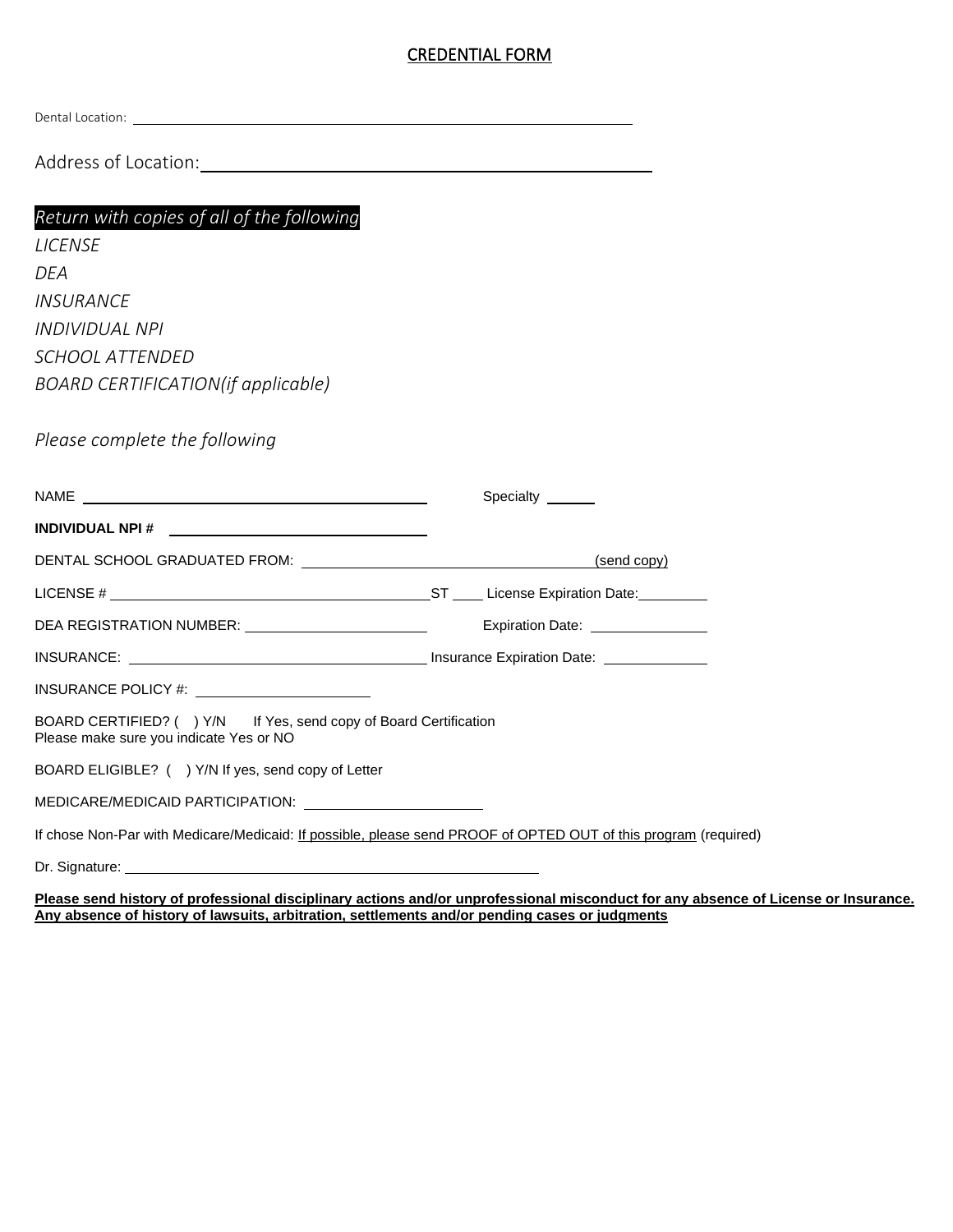#### CREDENTIAL FORM

Dental Location:

Address of Location:

# *Return with copies of all of the following*

*LICENSE DEA INSURANCE INDIVIDUAL NPI SCHOOL ATTENDED BOARD CERTIFICATION(if applicable)* 

*Please complete the following*

|                                                                                                                 | Specialty ______                 |
|-----------------------------------------------------------------------------------------------------------------|----------------------------------|
|                                                                                                                 |                                  |
|                                                                                                                 | (send copy)                      |
|                                                                                                                 |                                  |
| DEA REGISTRATION NUMBER: _________________________                                                              | Expiration Date: _______________ |
|                                                                                                                 |                                  |
|                                                                                                                 |                                  |
| BOARD CERTIFIED? () Y/N If Yes, send copy of Board Certification<br>Please make sure you indicate Yes or NO     |                                  |
| BOARD ELIGIBLE? () Y/N If yes, send copy of Letter                                                              |                                  |
| MEDICARE/MEDICAID PARTICIPATION: \\contractLangle methods.                                                      |                                  |
| If chose Non-Par with Medicare/Medicaid: If possible, please send PROOF of OPTED OUT of this program (required) |                                  |
| Dr. Signature: <u>December 2008</u>                                                                             |                                  |

**Please send history of professional disciplinary actions and/or unprofessional misconduct for any absence of License or Insurance. Any absence of history of lawsuits, arbitration, settlements and/or pending cases or judgments**